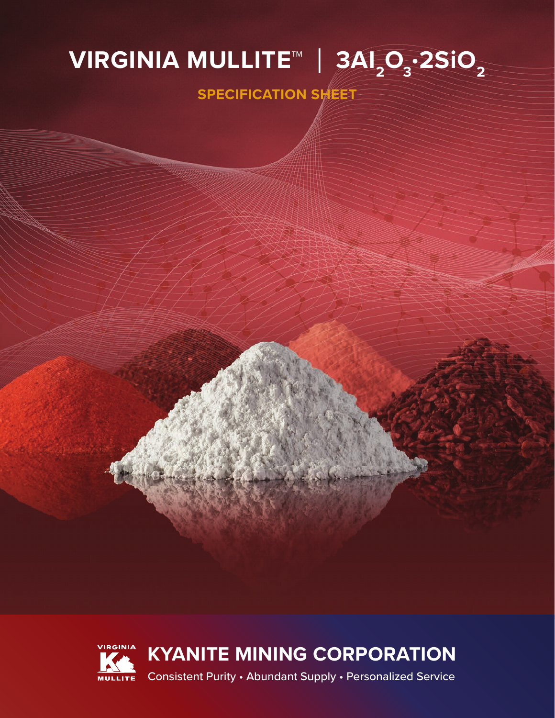## **∨IRGINIA MULLITE™ | 3AI<sub>2</sub>O<sub>3</sub>·2SiO<sub>2</sub>**

**SPECIFICATION SHEET**